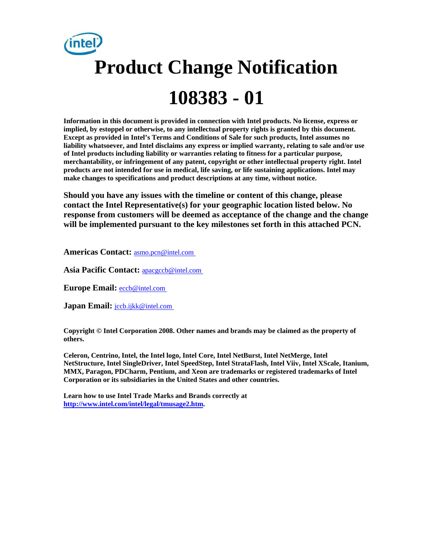# **Product Change Notification 108383 - 01**

**Information in this document is provided in connection with Intel products. No license, express or implied, by estoppel or otherwise, to any intellectual property rights is granted by this document. Except as provided in Intel's Terms and Conditions of Sale for such products, Intel assumes no liability whatsoever, and Intel disclaims any express or implied warranty, relating to sale and/or use of Intel products including liability or warranties relating to fitness for a particular purpose, merchantability, or infringement of any patent, copyright or other intellectual property right. Intel products are not intended for use in medical, life saving, or life sustaining applications. Intel may make changes to specifications and product descriptions at any time, without notice.** 

**Should you have any issues with the timeline or content of this change, please contact the Intel Representative(s) for your geographic location listed below. No response from customers will be deemed as acceptance of the change and the change will be implemented pursuant to the key milestones set forth in this attached PCN.** 

**Americas Contact:** [asmo.pcn@intel.com](mailto:asmo.pcn@intel.com) 

**Asia Pacific Contact:** [apacgccb@intel.com](mailto:apacgccb@intel.com) 

Europe Email: **eccb@intel.com** 

**Japan Email:** *jccb.ijkk@intel.com* 

**Copyright © Intel Corporation 2008. Other names and brands may be claimed as the property of others.**

**Celeron, Centrino, Intel, the Intel logo, Intel Core, Intel NetBurst, Intel NetMerge, Intel NetStructure, Intel SingleDriver, Intel SpeedStep, Intel StrataFlash, Intel Viiv, Intel XScale, Itanium, MMX, Paragon, PDCharm, Pentium, and Xeon are trademarks or registered trademarks of Intel Corporation or its subsidiaries in the United States and other countries.** 

**Learn how to use Intel Trade Marks and Brands correctly at [http://www.intel.com/intel/legal/tmusage2.htm.](http://www.intel.com/intel/legal/tmusage2.htm)**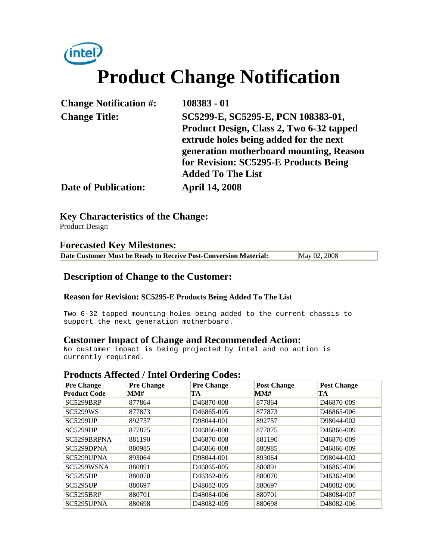# (intel) **Product Change Notification**

| <b>Change Notification #:</b> | 108383 - 01                                                                                                              |  |
|-------------------------------|--------------------------------------------------------------------------------------------------------------------------|--|
| <b>Change Title:</b>          | SC5299-E, SC5295-E, PCN 108383-01,<br>Product Design, Class 2, Two 6-32 tapped<br>extrude holes being added for the next |  |
|                               | generation motherboard mounting, Reason<br>for Revision: SC5295-E Products Being<br><b>Added To The List</b>             |  |
| <b>Date of Publication:</b>   | <b>April 14, 2008</b>                                                                                                    |  |

**Key Characteristics of the Change:**

Product Design

#### **Forecasted Key Milestones:**

| Date Customer Must be Ready to Receive Post-Conversion Material: | May 02, 2008 |  |
|------------------------------------------------------------------|--------------|--|
|------------------------------------------------------------------|--------------|--|

#### **Description of Change to the Customer:**

#### **Reason for Revision: SC5295-E Products Being Added To The List**

Two 6-32 tapped mounting holes being added to the current chassis to support the next generation motherboard.

#### **Customer Impact of Change and Recommended Action:**

No customer impact is being projected by Intel and no action is currently required.

#### **Products Affected / Intel Ordering Codes:**

| <b>Pre Change</b>   | <b>Pre Change</b> | <b>Pre Change</b>       | <b>Post Change</b> | <b>Post Change</b>      |
|---------------------|-------------------|-------------------------|--------------------|-------------------------|
| <b>Product Code</b> | MM#               | TА                      | MM#                | TA                      |
| SC5299BRP           | 877864            | D <sub>46870-008</sub>  | 877864             | D <sub>46870-009</sub>  |
| <b>SC5299WS</b>     | 877873            | D <sub>46865</sub> -005 | 877873             | D <sub>46865</sub> -006 |
| <b>SC5299UP</b>     | 892757            | D98044-001              | 892757             | D98044-002              |
| <b>SC5299DP</b>     | 877875            | D46866-008              | 877875             | D46866-009              |
| SC5299BRPNA         | 881190            | D <sub>46870-008</sub>  | 881190             | D <sub>46870-009</sub>  |
| SC5299DPNA          | 880985            | D <sub>46866</sub> -008 | 880985             | D46866-009              |
| SC5299UPNA          | 893064            | D98044-001              | 893064             | D98044-002              |
| SC5299WSNA          | 880891            | D46865-005              | 880891             | D <sub>46865</sub> -006 |
| <b>SC5295DP</b>     | 880070            | D <sub>46362</sub> -005 | 880070             | D <sub>46362</sub> -006 |
| <b>SC5295UP</b>     | 880697            | D48082-005              | 880697             | D48082-006              |
| SC5295BRP           | 880701            | D48084-006              | 880701             | D48084-007              |
| SC5295UPNA          | 880698            | D48082-005              | 880698             | D48082-006              |